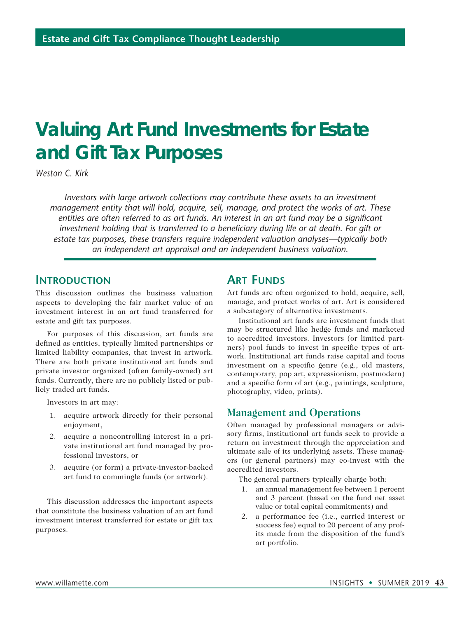# **Valuing Art Fund Investments for Estate and Gift Tax Purposes**

*Weston C. Kirk*

*Investors with large artwork collections may contribute these assets to an investment management entity that will hold, acquire, sell, manage, and protect the works of art. These entities are often referred to as art funds. An interest in an art fund may be a significant investment holding that is transferred to a beneficiary during life or at death. For gift or estate tax purposes, these transfers require independent valuation analyses—typically both an independent art appraisal and an independent business valuation.*

## **Introduction**

This discussion outlines the business valuation aspects to developing the fair market value of an investment interest in an art fund transferred for estate and gift tax purposes.

For purposes of this discussion, art funds are defined as entities, typically limited partnerships or limited liability companies, that invest in artwork. There are both private institutional art funds and private investor organized (often family-owned) art funds. Currently, there are no publicly listed or publicly traded art funds.

Investors in art may:

- 1. acquire artwork directly for their personal enjoyment,
- 2. acquire a noncontrolling interest in a private institutional art fund managed by professional investors, or
- 3. acquire (or form) a private-investor-backed art fund to commingle funds (or artwork).

This discussion addresses the important aspects that constitute the business valuation of an art fund investment interest transferred for estate or gift tax purposes.

# **ART FUNDS**

Art funds are often organized to hold, acquire, sell, manage, and protect works of art. Art is considered a subcategory of alternative investments.

Institutional art funds are investment funds that may be structured like hedge funds and marketed to accredited investors. Investors (or limited partners) pool funds to invest in specific types of artwork. Institutional art funds raise capital and focus investment on a specific genre (e.g., old masters, contemporary, pop art, expressionism, postmodern) and a specific form of art (e.g., paintings, sculpture, photography, video, prints).

#### **Management and Operations**

Often managed by professional managers or advisory firms, institutional art funds seek to provide a return on investment through the appreciation and ultimate sale of its underlying assets. These managers (or general partners) may co-invest with the accredited investors.

The general partners typically charge both:

- 1. an annual management fee between 1 percent and 3 percent (based on the fund net asset value or total capital commitments) and
- 2. a performance fee (i.e., carried interest or success fee) equal to 20 percent of any profits made from the disposition of the fund's art portfolio.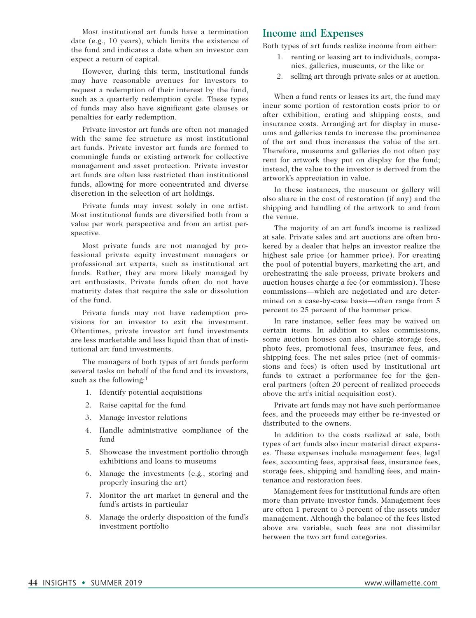Most institutional art funds have a termination date (e.g., 10 years), which limits the existence of the fund and indicates a date when an investor can expect a return of capital.

However, during this term, institutional funds may have reasonable avenues for investors to request a redemption of their interest by the fund, such as a quarterly redemption cycle. These types of funds may also have significant gate clauses or penalties for early redemption.

Private investor art funds are often not managed with the same fee structure as most institutional art funds. Private investor art funds are formed to commingle funds or existing artwork for collective management and asset protection. Private investor art funds are often less restricted than institutional funds, allowing for more concentrated and diverse discretion in the selection of art holdings.

Private funds may invest solely in one artist. Most institutional funds are diversified both from a value per work perspective and from an artist perspective.

Most private funds are not managed by professional private equity investment managers or professional art experts, such as institutional art funds. Rather, they are more likely managed by art enthusiasts. Private funds often do not have maturity dates that require the sale or dissolution of the fund.

Private funds may not have redemption provisions for an investor to exit the investment. Oftentimes, private investor art fund investments are less marketable and less liquid than that of institutional art fund investments.

The managers of both types of art funds perform several tasks on behalf of the fund and its investors, such as the following:1

- 1. Identify potential acquisitions
- 2. Raise capital for the fund
- 3. Manage investor relations
- 4. Handle administrative compliance of the fund
- 5. Showcase the investment portfolio through exhibitions and loans to museums
- 6. Manage the investments (e.g., storing and properly insuring the art)
- 7. Monitor the art market in general and the fund's artists in particular
- 8. Manage the orderly disposition of the fund's investment portfolio

#### **Income and Expenses**

Both types of art funds realize income from either:

- 1. renting or leasing art to individuals, companies, galleries, museums, or the like or
- 2. selling art through private sales or at auction.

When a fund rents or leases its art, the fund may incur some portion of restoration costs prior to or after exhibition, crating and shipping costs, and insurance costs. Arranging art for display in museums and galleries tends to increase the prominence of the art and thus increases the value of the art. Therefore, museums and galleries do not often pay rent for artwork they put on display for the fund; instead, the value to the investor is derived from the artwork's appreciation in value.

In these instances, the museum or gallery will also share in the cost of restoration (if any) and the shipping and handling of the artwork to and from the venue.

The majority of an art fund's income is realized at sale. Private sales and art auctions are often brokered by a dealer that helps an investor realize the highest sale price (or hammer price). For creating the pool of potential buyers, marketing the art, and orchestrating the sale process, private brokers and auction houses charge a fee (or commission). These commissions—which are negotiated and are determined on a case-by-case basis—often range from 5 percent to 25 percent of the hammer price.

In rare instance, seller fees may be waived on certain items. In addition to sales commissions, some auction houses can also charge storage fees, photo fees, promotional fees, insurance fees, and shipping fees. The net sales price (net of commissions and fees) is often used by institutional art funds to extract a performance fee for the general partners (often 20 percent of realized proceeds above the art's initial acquisition cost).

Private art funds may not have such performance fees, and the proceeds may either be re-invested or distributed to the owners.

In addition to the costs realized at sale, both types of art funds also incur material direct expenses. These expenses include management fees, legal fees, accounting fees, appraisal fees, insurance fees, storage fees, shipping and handling fees, and maintenance and restoration fees.

Management fees for institutional funds are often more than private investor funds. Management fees are often 1 percent to 3 percent of the assets under management. Although the balance of the fees listed above are variable, such fees are not dissimilar between the two art fund categories.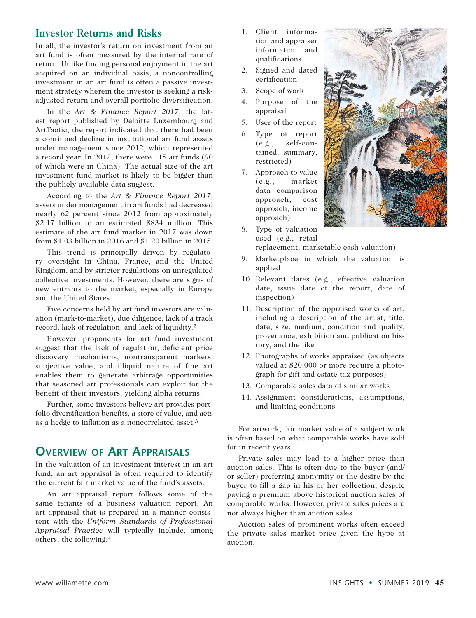## **Investor Returns and Risks**

In all, the investor's return on investment from an art fund is often measured by the internal rate of return. Unlike finding personal enjoyment in the art acquired on an individual basis, a noncontrolling investment in an art fund is often a passive investment strategy wherein the investor is seeking a riskadjusted return and overall portfolio diversification.

In the *Art & Finance Report 2017*, the latest report published by Deloitte Luxembourg and ArtTactic, the report indicated that there had been a continued decline in institutional art fund assets under management since 2012, which represented a record year. In 2012, there were 115 art funds (90 of which were in China). The actual size of the art investment fund market is likely to be bigger than the publicly available data suggest.

According to the *Art & Finance Report 2017*, assets under management in art funds had decreased nearly 62 percent since 2012 from approximately \$2.17 billion to an estimated \$834 million. This estimate of the art fund market in 2017 was down from \$1.03 billion in 2016 and \$1.20 billion in 2015.

This trend is principally driven by regulatory oversight in China, France, and the United Kingdom, and by stricter regulations on unregulated collective investments. However, there are signs of new entrants to the market, especially in Europe and the United States.

Five concerns held by art fund investors are valuation (mark-to-market), due diligence, lack of a track record, lack of regulation, and lack of liquidity.2

However, proponents for art fund investment suggest that the lack of regulation, deficient price discovery mechanisms, nontransparent markets, subjective value, and illiquid nature of fine art enables them to generate arbitrage opportunities that seasoned art professionals can exploit for the benefit of their investors, yielding alpha returns.

Further, some investors believe art provides portfolio diversification benefits, a store of value, and acts as a hedge to inflation as a noncorrelated asset.3

# **Overview of Art Appraisals**

In the valuation of an investment interest in an art fund, an art appraisal is often required to identify the current fair market value of the fund's assets.

An art appraisal report follows some of the same tenants of a business valuation report. An art appraisal that is prepared in a manner consistent with the *Uniform Standards of Professional Appraisal Practice* will typically include, among others, the following:4

- 1. Client information and appraiser information and qualifications
- 2. Signed and dated certification
- 3. Scope of work
- 4. Purpose of the appraisal
- 5. User of the report
- 6. Type of report (e.g., self-contained, summary, restricted)
- 7. Approach to value (e.g., market data comparison approach, cost approach, income approach)
- 8. Type of valuation used (e.g., retail replacement, marketable cash valuation)
- 9. Marketplace in which the valuation is applied
- 10. Relevant dates (e.g., effective valuation date, issue date of the report, date of inspection)
- 11. Description of the appraised works of art, including a description of the artist, title, date, size, medium, condition and quality, provenance, exhibition and publication history, and the like
- 12. Photographs of works appraised (as objects valued at \$20,000 or more require a photograph for gift and estate tax purposes)
- 13. Comparable sales data of similar works
- 14. Assignment considerations, assumptions, and limiting conditions

For artwork, fair market value of a subject work is often based on what comparable works have sold for in recent years.

Private sales may lead to a higher price than auction sales. This is often due to the buyer (and/ or seller) preferring anonymity or the desire by the buyer to fill a gap in his or her collection, despite paying a premium above historical auction sales of comparable works. However, private sales prices are not always higher than auction sales.

Auction sales of prominent works often exceed the private sales market price given the hype at auction.

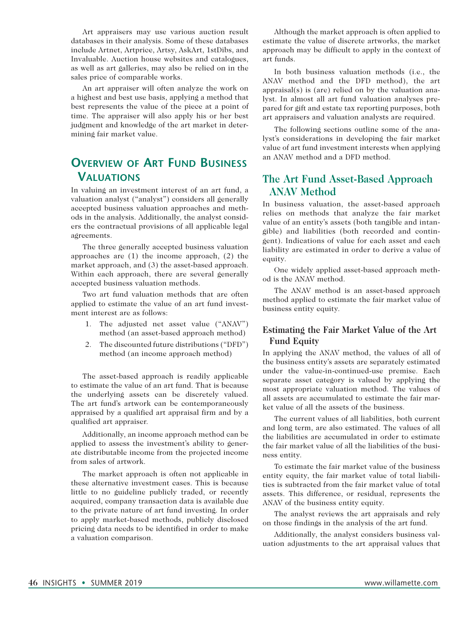Art appraisers may use various auction result databases in their analysis. Some of these databases include Artnet, Artprice, Artsy, AskArt, 1stDibs, and Invaluable. Auction house websites and catalogues, as well as art galleries, may also be relied on in the sales price of comparable works.

An art appraiser will often analyze the work on a highest and best use basis, applying a method that best represents the value of the piece at a point of time. The appraiser will also apply his or her best judgment and knowledge of the art market in determining fair market value.

# **Overview of Art Fund Business Valuations**

In valuing an investment interest of an art fund, a valuation analyst ("analyst") considers all generally accepted business valuation approaches and methods in the analysis. Additionally, the analyst considers the contractual provisions of all applicable legal agreements.

The three generally accepted business valuation approaches are (1) the income approach, (2) the market approach, and (3) the asset-based approach. Within each approach, there are several generally accepted business valuation methods.

Two art fund valuation methods that are often applied to estimate the value of an art fund investment interest are as follows:

- 1. The adjusted net asset value ("ANAV") method (an asset-based approach method)
- 2. The discounted future distributions ("DFD") method (an income approach method)

The asset-based approach is readily applicable to estimate the value of an art fund. That is because the underlying assets can be discretely valued. The art fund's artwork can be contemporaneously appraised by a qualified art appraisal firm and by a qualified art appraiser.

Additionally, an income approach method can be applied to assess the investment's ability to generate distributable income from the projected income from sales of artwork.

The market approach is often not applicable in these alternative investment cases. This is because little to no guideline publicly traded, or recently acquired, company transaction data is available due to the private nature of art fund investing. In order to apply market-based methods, publicly disclosed pricing data needs to be identified in order to make a valuation comparison.

Although the market approach is often applied to estimate the value of discrete artworks, the market approach may be difficult to apply in the context of art funds.

In both business valuation methods (i.e., the ANAV method and the DFD method), the art appraisal(s) is (are) relied on by the valuation analyst. In almost all art fund valuation analyses prepared for gift and estate tax reporting purposes, both art appraisers and valuation analysts are required.

The following sections outline some of the analyst's considerations in developing the fair market value of art fund investment interests when applying an ANAV method and a DFD method.

## **The Art Fund Asset-Based Approach ANAV Method**

In business valuation, the asset-based approach relies on methods that analyze the fair market value of an entity's assets (both tangible and intangible) and liabilities (both recorded and contingent). Indications of value for each asset and each liability are estimated in order to derive a value of equity.

One widely applied asset-based approach method is the ANAV method.

The ANAV method is an asset-based approach method applied to estimate the fair market value of business entity equity.

#### **Estimating the Fair Market Value of the Art Fund Equity**

In applying the ANAV method, the values of all of the business entity's assets are separately estimated under the value-in-continued-use premise. Each separate asset category is valued by applying the most appropriate valuation method. The values of all assets are accumulated to estimate the fair market value of all the assets of the business.

The current values of all liabilities, both current and long term, are also estimated. The values of all the liabilities are accumulated in order to estimate the fair market value of all the liabilities of the business entity.

To estimate the fair market value of the business entity equity, the fair market value of total liabilities is subtracted from the fair market value of total assets. This difference, or residual, represents the ANAV of the business entity equity.

The analyst reviews the art appraisals and rely on those findings in the analysis of the art fund.

Additionally, the analyst considers business valuation adjustments to the art appraisal values that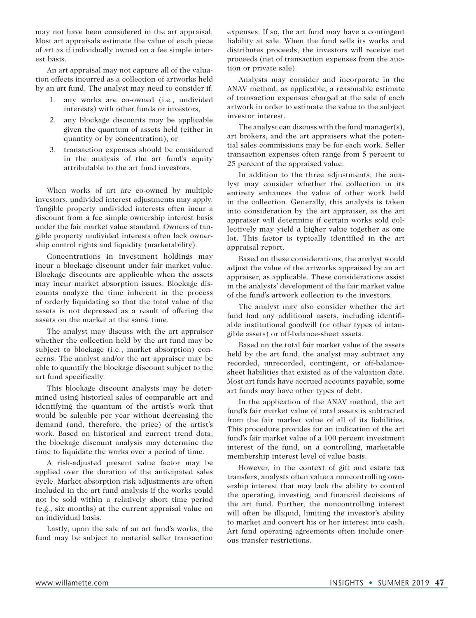may not have been considered in the art appraisal. Most art appraisals estimate the value of each piece of art as if individually owned on a fee simple interest basis.

An art appraisal may not capture all of the valuation effects incurred as a collection of artworks held by an art fund. The analyst may need to consider if:

- 1. any works are co-owned (i.e., undivided interests) with other funds or investors,
- 2. any blockage discounts may be applicable given the quantum of assets held (either in quantity or by concentration), or
- 3. transaction expenses should be considered in the analysis of the art fund's equity attributable to the art fund investors.

When works of art are co-owned by multiple investors, undivided interest adjustments may apply. Tangible property undivided interests often incur a discount from a fee simple ownership interest basis under the fair market value standard. Owners of tangible property undivided interests often lack ownership control rights and liquidity (marketability).

Concentrations in investment holdings may incur a blockage discount under fair market value. Blockage discounts are applicable when the assets may incur market absorption issues. Blockage discounts analyze the time inherent in the process of orderly liquidating so that the total value of the assets is not depressed as a result of offering the assets on the market at the same time.

The analyst may discuss with the art appraiser whether the collection held by the art fund may be subject to blockage (i.e., market absorption) concerns. The analyst and/or the art appraiser may be able to quantify the blockage discount subject to the art fund specifically.

This blockage discount analysis may be determined using historical sales of comparable art and identifying the quantum of the artist's work that would be saleable per year without decreasing the demand (and, therefore, the price) of the artist's work. Based on historical and current trend data, the blockage discount analysis may determine the time to liquidate the works over a period of time.

A risk-adjusted present value factor may be applied over the duration of the anticipated sales cycle. Market absorption risk adjustments are often included in the art fund analysis if the works could not be sold within a relatively short time period (e.g., six months) at the current appraisal value on an individual basis.

Lastly, upon the sale of an art fund's works, the fund may be subject to material seller transaction expenses. If so, the art fund may have a contingent liability at sale. When the fund sells its works and distributes proceeds, the investors will receive net proceeds (net of transaction expenses from the auction or private sale).

Analysts may consider and incorporate in the ANAV method, as applicable, a reasonable estimate of transaction expenses charged at the sale of each artwork in order to estimate the value to the subject investor interest.

The analyst can discuss with the fund manager(s), art brokers, and the art appraisers what the potential sales commissions may be for each work. Seller transaction expenses often range from 5 percent to 25 percent of the appraised value.

In addition to the three adjustments, the analyst may consider whether the collection in its entirety enhances the value of other work held in the collection. Generally, this analysis is taken into consideration by the art appraiser, as the art appraiser will determine if certain works sold collectively may yield a higher value together as one lot. This factor is typically identified in the art appraisal report.

Based on these considerations, the analyst would adjust the value of the artworks appraised by an art appraiser, as applicable. These considerations assist in the analysts' development of the fair market value of the fund's artwork collection to the investors.

The analyst may also consider whether the art fund had any additional assets, including identifiable institutional goodwill (or other types of intangible assets) or off-balance-sheet assets.

Based on the total fair market value of the assets held by the art fund, the analyst may subtract any recorded, unrecorded, contingent, or off-balancesheet liabilities that existed as of the valuation date. Most art funds have accrued accounts payable; some art funds may have other types of debt.

In the application of the ANAV method, the art fund's fair market value of total assets is subtracted from the fair market value of all of its liabilities. This procedure provides for an indication of the art fund's fair market value of a 100 percent investment interest of the fund, on a controlling, marketable membership interest level of value basis.

However, in the context of gift and estate tax transfers, analysts often value a noncontrolling ownership interest that may lack the ability to control the operating, investing, and financial decisions of the art fund. Further, the noncontrolling interest will often be illiquid, limiting the investor's ability to market and convert his or her interest into cash. Art fund operating agreements often include onerous transfer restrictions.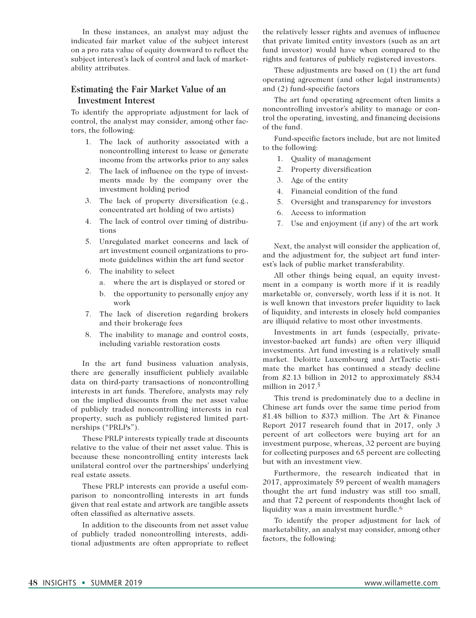In these instances, an analyst may adjust the indicated fair market value of the subject interest on a pro rata value of equity downward to reflect the subject interest's lack of control and lack of marketability attributes.

#### **Estimating the Fair Market Value of an Investment Interest**

To identify the appropriate adjustment for lack of control, the analyst may consider, among other factors, the following:

- 1. The lack of authority associated with a noncontrolling interest to lease or generate income from the artworks prior to any sales
- 2. The lack of influence on the type of investments made by the company over the investment holding period
- 3. The lack of property diversification (e.g., concentrated art holding of two artists)
- 4. The lack of control over timing of distributions
- 5. Unregulated market concerns and lack of art investment council organizations to promote guidelines within the art fund sector
- 6. The inability to select
	- a. where the art is displayed or stored or
	- b. the opportunity to personally enjoy any work
- 7. The lack of discretion regarding brokers and their brokerage fees
- 8. The inability to manage and control costs, including variable restoration costs

In the art fund business valuation analysis, there are generally insufficient publicly available data on third-party transactions of noncontrolling interests in art funds. Therefore, analysts may rely on the implied discounts from the net asset value of publicly traded noncontrolling interests in real property, such as publicly registered limited partnerships ("PRLPs").

These PRLP interests typically trade at discounts relative to the value of their net asset value. This is because these noncontrolling entity interests lack unilateral control over the partnerships' underlying real estate assets.

These PRLP interests can provide a useful comparison to noncontrolling interests in art funds given that real estate and artwork are tangible assets often classified as alternative assets.

In addition to the discounts from net asset value of publicly traded noncontrolling interests, additional adjustments are often appropriate to reflect the relatively lesser rights and avenues of influence that private limited entity investors (such as an art fund investor) would have when compared to the rights and features of publicly registered investors.

These adjustments are based on (1) the art fund operating agreement (and other legal instruments) and (2) fund-specific factors

The art fund operating agreement often limits a noncontrolling investor's ability to manage or control the operating, investing, and financing decisions of the fund.

Fund-specific factors include, but are not limited to the following:

- 1. Quality of management
- 2. Property diversification
- 3. Age of the entity
- 4. Financial condition of the fund
- 5. Oversight and transparency for investors
- 6. Access to information
- 7. Use and enjoyment (if any) of the art work

Next, the analyst will consider the application of, and the adjustment for, the subject art fund interest's lack of public market transferability.

All other things being equal, an equity investment in a company is worth more if it is readily marketable or, conversely, worth less if it is not. It is well known that investors prefer liquidity to lack of liquidity, and interests in closely held companies are illiquid relative to most other investments.

Investments in art funds (especially, privateinvestor-backed art funds) are often very illiquid investments. Art fund investing is a relatively small market. Deloitte Luxembourg and ArtTactic estimate the market has continued a steady decline from \$2.13 billion in 2012 to approximately \$834 million in  $2017<sup>5</sup>$ 

This trend is predominately due to a decline in Chinese art funds over the same time period from \$1.48 billion to \$373 million. The Art & Finance Report 2017 research found that in 2017, only 3 percent of art collectors were buying art for an investment purpose, whereas, 32 percent are buying for collecting purposes and 65 percent are collecting but with an investment view.

Furthermore, the research indicated that in 2017, approximately 59 percent of wealth managers thought the art fund industry was still too small, and that 72 percent of respondents thought lack of liquidity was a main investment hurdle.6

To identify the proper adjustment for lack of marketability, an analyst may consider, among other factors, the following: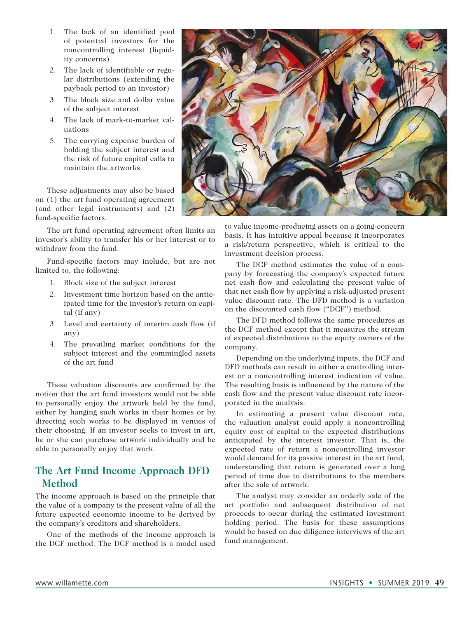- 1. The lack of an identified pool of potential investors for the noncontrolling interest (liquidity concerns)
- 2. The lack of identifiable or regular distributions (extending the payback period to an investor)
- 3. The block size and dollar value of the subject interest
- 4. The lack of mark-to-market valuations
- 5. The carrying expense burden of holding the subject interest and the risk of future capital calls to maintain the artworks

These adjustments may also be based on (1) the art fund operating agreement (and other legal instruments) and (2) fund-specific factors.

The art fund operating agreement often limits an investor's ability to transfer his or her interest or to withdraw from the fund.

Fund-specific factors may include, but are not limited to, the following:

- 1. Block size of the subject interest
- 2. Investment time horizon based on the anticipated time for the investor's return on capital (if any)
- 3. Level and certainty of interim cash flow (if any)
- 4. The prevailing market conditions for the subject interest and the commingled assets of the art fund

These valuation discounts are confirmed by the notion that the art fund investors would not be able to personally enjoy the artwork held by the fund, either by hanging such works in their homes or by directing such works to be displayed in venues of their choosing. If an investor seeks to invest in art, he or she can purchase artwork individually and be able to personally enjoy that work.

# **The Art Fund Income Approach DFD Method**

The income approach is based on the principle that the value of a company is the present value of all the future expected economic income to be derived by the company's creditors and shareholders.

One of the methods of the income approach is the DCF method. The DCF method is a model used



to value income-producing assets on a going-concern basis. It has intuitive appeal because it incorporates a risk/return perspective, which is critical to the investment decision process.

The DCF method estimates the value of a company by forecasting the company's expected future net cash flow and calculating the present value of that net cash flow by applying a risk-adjusted present value discount rate. The DFD method is a variation on the discounted cash flow ("DCF") method.

The DFD method follows the same procedures as the DCF method except that it measures the stream of expected distributions to the equity owners of the company.

Depending on the underlying inputs, the DCF and DFD methods can result in either a controlling interest or a noncontrolling interest indication of value. The resulting basis is influenced by the nature of the cash flow and the present value discount rate incorporated in the analysis.

In estimating a present value discount rate, the valuation analyst could apply a noncontrolling equity cost of capital to the expected distributions anticipated by the interest investor. That is, the expected rate of return a noncontrolling investor would demand for its passive interest in the art fund, understanding that return is generated over a long period of time due to distributions to the members after the sale of artwork.

The analyst may consider an orderly sale of the art portfolio and subsequent distribution of net proceeds to occur during the estimated investment holding period. The basis for these assumptions would be based on due diligence interviews of the art fund management.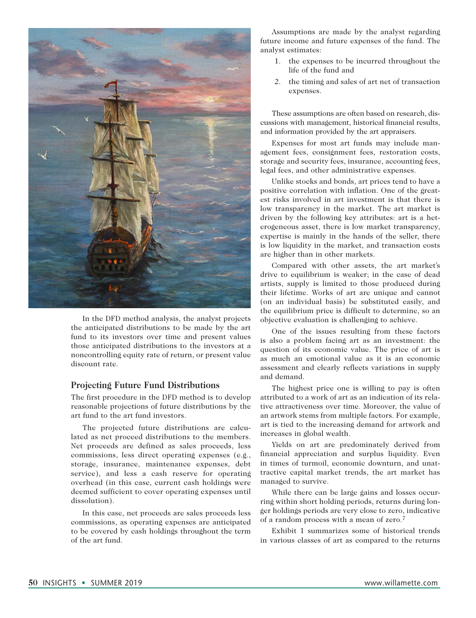

In the DFD method analysis, the analyst projects the anticipated distributions to be made by the art fund to its investors over time and present values those anticipated distributions to the investors at a noncontrolling equity rate of return, or present value discount rate.

#### **Projecting Future Fund Distributions**

The first procedure in the DFD method is to develop reasonable projections of future distributions by the art fund to the art fund investors.

The projected future distributions are calculated as net proceed distributions to the members. Net proceeds are defined as sales proceeds, less commissions, less direct operating expenses (e.g., storage, insurance, maintenance expenses, debt service), and less a cash reserve for operating overhead (in this case, current cash holdings were deemed sufficient to cover operating expenses until dissolution).

In this case, net proceeds are sales proceeds less commissions, as operating expenses are anticipated to be covered by cash holdings throughout the term of the art fund.

Assumptions are made by the analyst regarding future income and future expenses of the fund. The analyst estimates:

- 1. the expenses to be incurred throughout the life of the fund and
- 2. the timing and sales of art net of transaction expenses.

These assumptions are often based on research, discussions with management, historical financial results, and information provided by the art appraisers.

Expenses for most art funds may include management fees, consignment fees, restoration costs, storage and security fees, insurance, accounting fees, legal fees, and other administrative expenses.

Unlike stocks and bonds, art prices tend to have a positive correlation with inflation. One of the greatest risks involved in art investment is that there is low transparency in the market. The art market is driven by the following key attributes: art is a heterogeneous asset, there is low market transparency, expertise is mainly in the hands of the seller, there is low liquidity in the market, and transaction costs are higher than in other markets.

Compared with other assets, the art market's drive to equilibrium is weaker; in the case of dead artists, supply is limited to those produced during their lifetime. Works of art are unique and cannot (on an individual basis) be substituted easily, and the equilibrium price is difficult to determine, so an objective evaluation is challenging to achieve.

One of the issues resulting from these factors is also a problem facing art as an investment: the question of its economic value. The price of art is as much an emotional value as it is an economic assessment and clearly reflects variations in supply and demand.

The highest price one is willing to pay is often attributed to a work of art as an indication of its relative attractiveness over time. Moreover, the value of an artwork stems from multiple factors. For example, art is tied to the increasing demand for artwork and increases in global wealth.

Yields on art are predominately derived from financial appreciation and surplus liquidity. Even in times of turmoil, economic downturn, and unattractive capital market trends, the art market has managed to survive.

While there can be large gains and losses occurring within short holding periods, returns during longer holdings periods are very close to zero, indicative of a random process with a mean of zero.7

Exhibit 1 summarizes some of historical trends in various classes of art as compared to the returns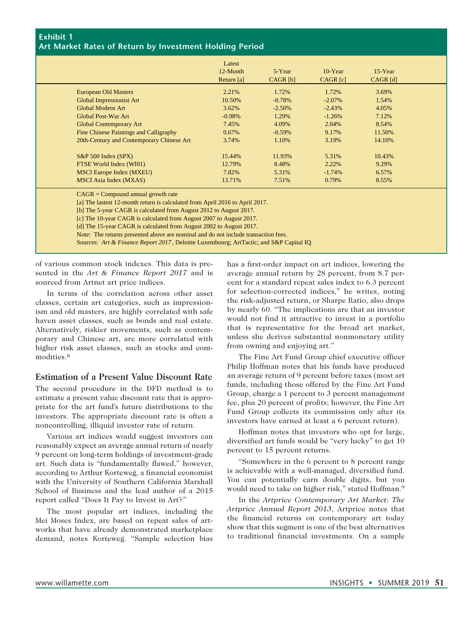#### **Exhibit 1 Art Market Rates of Return by Investment Holding Period**

|                                           | Latest<br>12-Month<br>Return $[a]$ | 5-Year<br>CAGR <sub>[b]</sub> | $10$ -Year<br>CAGR <sub>[c]</sub> | $15$ -Year<br>$CAGR$ [d] |
|-------------------------------------------|------------------------------------|-------------------------------|-----------------------------------|--------------------------|
| <b>European Old Masters</b>               | 2.21%                              | 1.72%                         | 1.72%                             | 3.69%                    |
| <b>Global Impressionist Art</b>           | 10.50%                             | $-0.78%$                      | $-2.07\%$                         | 1.54%                    |
| Global Modern Art                         | 3.62%                              | $-2.50%$                      | $-2.43%$                          | 4.05%                    |
| Global Post-War Art                       | $-0.98%$                           | 1.29%                         | $-1.26%$                          | 7.12%                    |
| <b>Global Contemporary Art</b>            | 7.45%                              | 4.09%                         | 2.04%                             | 8.54%                    |
| Fine Chinese Paintings and Calligraphy    | 0.67%                              | $-0.59%$                      | 9.17%                             | 11.50%                   |
| 20th-Century and Contemporary Chinese Art | 3.74%                              | 1.10%                         | 3.19%                             | 14.10%                   |
| $S\&P 500$ Index $(SPX)$                  | 15.44%                             | 11.93%                        | 5.31%                             | 10.43%                   |
| FTSE World Index (WI01)                   | 12.79%                             | 8.48%                         | 2.22%                             | 9.29%                    |
| <b>MSCI</b> Europe Index (MXEU)           | 7.82%                              | 5.31%                         | $-1.74%$                          | 6.57%                    |
| <b>MSCI</b> Asia Index (MXAS)             | 13.71%                             | 7.51%                         | 0.79%                             | 8.55%                    |

CAGR = Compound annual growth rate

[a] The lastest 12-month return is calculated from April 2016 to April 2017.

[b] The 5-year CAGR is calculated from August 2012 to August 2017.

[c] The 10-year CAGR is calculated from August 2007 to August 2017.

[d] The 15-year CAGR is calculated from August 2002 to August 2017.

Note: The returns presented above are nominal and do not include transaction fees.

Sources: *Art & Finance Report 2017* , Deloitte Luxembourg; ArtTactic; and S&P Capital IQ.

of various common stock indexes. This data is presented in the *Art & Finance Report 2017* and is sourced from Artnet art price indices.

In terms of the correlation across other asset classes, certain art categories, such as impressionism and old masters, are highly correlated with safe haven asset classes, such as bonds and real estate. Alternatively, riskier movements, such as contemporary and Chinese art, are more correlated with higher risk asset classes, such as stocks and commodities.8

#### **Estimation of a Present Value Discount Rate**

The second procedure in the DFD method is to estimate a present value discount rate that is appropriate for the art fund's future distributions to the investors. The appropriate discount rate is often a noncontrolling, illiquid investor rate of return.

Various art indices would suggest investors can reasonably expect an average annual return of nearly 9 percent on long-term holdings of investment-grade art. Such data is "fundamentally flawed," however, according to Arthur Korteweg, a financial economist with the University of Southern California Marshall School of Business and the lead author of a 2015 report called "Does It Pay to Invest in Art?"

The most popular art indices, including the Mei Moses Index, are based on repeat sales of artworks that have already demonstrated marketplace demand, notes Korteweg. "Sample selection bias has a first-order impact on art indices, lowering the average annual return by 28 percent, from 8.7 percent for a standard repeat sales index to 6.3 percent for selection-corrected indices," he writes, noting the risk-adjusted return, or Sharpe Ratio, also drops by nearly 60. "The implications are that an investor would not find it attractive to invest in a portfolio that is representative for the broad art market, unless she derives substantial nonmonetary utility from owning and enjoying art."

The Fine Art Fund Group chief executive officer Philip Hoffman notes that his funds have produced an average return of 9 percent before taxes (most art funds, including those offered by the Fine Art Fund Group, charge a 1 percent to 3 percent management fee, plus 20 percent of profits; however, the Fine Art Fund Group collects its commission only after its investors have earned at least a 6 percent return).

Hoffman notes that investors who opt for large, diversified art funds would be "very lucky" to get 10 percent to 15 percent returns.

"Somewhere in the 6 percent to 8 percent range is achievable with a well-managed, diversified fund. You can potentially earn double digits, but you would need to take on higher risk," stated Hoffman.9

In the *Artprice Contemporary Art Market: The Artprice Annual Report 2013*, Artprice notes that the financial returns on contemporary art today show that this segment is one of the best alternatives to traditional financial investments. On a sample